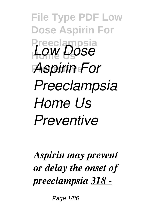**File Type PDF Low Dose Aspirin For Preeclampsia Home Us** *Low Dose* **Preventive** *Aspirin For Preeclampsia Home Us Preventive*

*Aspirin may prevent or delay the onset of preeclampsia 318 -*

Page 1/86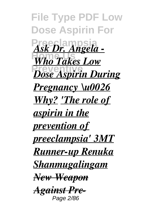**File Type PDF Low Dose Aspirin For** Ask Dr. Angela -**Who Takes Low** *<u>Dose Aspirin During</u> Pregnancy \u0026 Why? 'The role of aspirin in the prevention of preeclampsia' 3MT Runner-up Renuka Shanmugalingam New Weapon Against Pre-*Page 2/86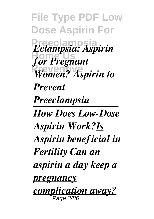**File Type PDF Low Dose Aspirin For Preeclampsia** *Eclampsia: Aspirin* **Home Us** *for Pregnant* **Preventive** *Women? Aspirin to Prevent Preeclampsia How Does Low-Dose Aspirin Work?Is Aspirin beneficial in Fertility Can an aspirin a day keep a pregnancy complication away?* Page 3/86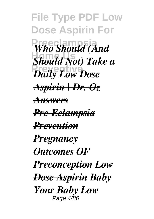**File Type PDF Low Dose Aspirin For Who Should (And Home Us** *Should Not) Take a* **Preventive** *Daily Low Dose Aspirin | Dr. Oz Answers Pre-Eclampsia Prevention Pregnancy Outcomes OF Preconception Low Dose Aspirin Baby Your Baby Low* Page 4/86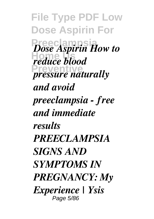**File Type PDF Low Dose Aspirin For Preeclampsia** *Dose Aspirin How to Foss Home Pressure naturally and avoid preeclampsia - free and immediate results PREECLAMPSIA SIGNS AND SYMPTOMS IN PREGNANCY: My Experience | Ysis* Page 5/86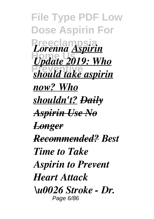**File Type PDF Low Dose Aspirin For Preeclampsia** *Lorenna Aspirin* **Home Us** *Update 2019: Who* **Preventive** *should take aspirin now? Who shouldn't? Daily Aspirin Use No Longer Recommended? Best Time to Take Aspirin to Prevent Heart Attack \u0026 Stroke - Dr.* Page 6/86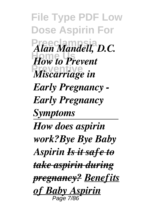**File Type PDF Low Dose Aspirin For**  $A$ *lan Mandell, D.C.* **How to Prevent** *Miscarriage in Early Pregnancy - Early Pregnancy Symptoms How does aspirin work?Bye Bye Baby Aspirin Is it safe to take aspirin during pregnancy? Benefits of Baby Aspirin* Page 7/86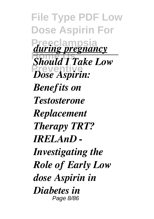**File Type PDF Low Dose Aspirin For** *during pregnancy* **Should I Take Low Preventive** *Dose Aspirin: Benefits on Testosterone Replacement Therapy TRT? IRELAnD - Investigating the Role of Early Low dose Aspirin in Diabetes in* Page 8/86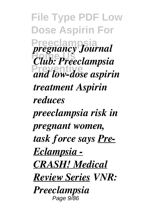**File Type PDF Low Dose Aspirin For Preeclampsia** *pregnancy Journal* **Home Us** *Club: Preeclampsia* **Preventive** *and low-dose aspirin treatment Aspirin reduces preeclampsia risk in pregnant women, task force says Pre-Eclampsia - CRASH! Medical Review Series VNR: Preeclampsia* Page 9/86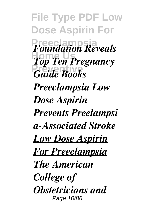**File Type PDF Low Dose Aspirin For** *Foundation Reveals* **Home The Pregnancy Preventive** *Guide Books Preeclampsia Low Dose Aspirin Prevents Preelampsi a-Associated Stroke Low Dose Aspirin For Preeclampsia The American College of Obstetricians and* Page 10/86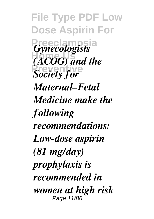**File Type PDF Low Dose Aspirin For** *Gynecologists* **Home Us** *(ACOG) and the* **Preventively** *Maternal–Fetal Medicine make the following recommendations: Low-dose aspirin (81 mg/day) prophylaxis is recommended in women at high risk* Page 11/86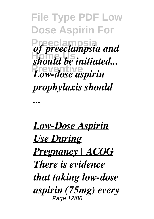**File Type PDF Low Dose Aspirin For Preeclampsia** *of preeclampsia and should be initiated...* **Preventive** *Low-dose aspirin prophylaxis should ...*

*Low-Dose Aspirin Use During Pregnancy | ACOG There is evidence that taking low-dose aspirin (75mg) every* Page 12/86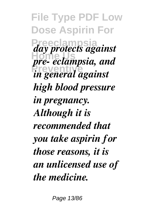**File Type PDF Low Dose Aspirin For Preeclampsia** *day protects against <i>pre-* eclampsia, and **Preventive** *in general against high blood pressure in pregnancy. Although it is recommended that you take aspirin for those reasons, it is an unlicensed use of the medicine.*

Page 13/86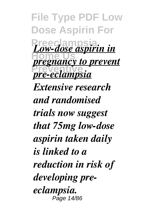**File Type PDF Low Dose Aspirin For Preeclampsia** *Low-dose aspirin in <u>pregnancy to prevent</u>* **Preventive** *pre-eclampsia Extensive research and randomised trials now suggest that 75mg low-dose aspirin taken daily is linked to a reduction in risk of developing preeclampsia.* Page 14/86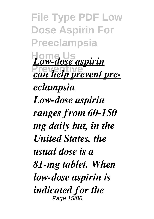**File Type PDF Low Dose Aspirin For Preeclampsia Home Us** *Low-dose aspirin <u>can help prevent pre-</u> eclampsia Low-dose aspirin ranges from 60-150 mg daily but, in the United States, the usual dose is a 81-mg tablet. When low-dose aspirin is indicated for the* Page 15/86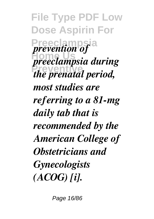**File Type PDF Low Dose Aspirin For** *Prevention of* **Home Us** *preeclampsia during* **Preventive** *the prenatal period, most studies are referring to a 81-mg daily tab that is recommended by the American College of Obstetricians and Gynecologists (ACOG) [i].*

Page 16/86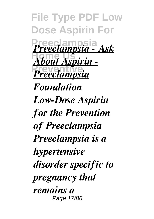**File Type PDF Low Dose Aspirin For Preeclampsia** *Preeclampsia - Ask* **Home Us** *About Aspirin -* **Preventive** *Preeclampsia Foundation Low-Dose Aspirin for the Prevention of Preeclampsia Preeclampsia is a hypertensive disorder specific to pregnancy that remains a* Page 17/86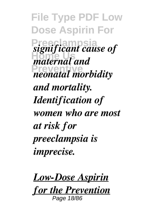**File Type PDF Low Dose Aspirin For Preeclampsia** *significant cause of* **Home Us** *maternal and* **Preventive** *neonatal morbidity and mortality. Identification of women who are most at risk for preeclampsia is imprecise.*

*Low-Dose Aspirin*

*for the Prevention* Page 18/86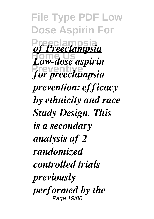**File Type PDF Low Dose Aspirin For Preeclampsia** *of Preeclampsia* **Home Us** *Low-dose aspirin* **Preventive** *for preeclampsia prevention: efficacy by ethnicity and race Study Design. This is a secondary analysis of 2 randomized controlled trials previously performed by the* Page 19/86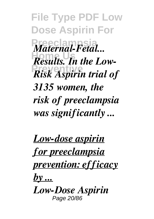**File Type PDF Low Dose Aspirin For**  $Materal-<del>$ *Fetal...*</del> **Results.** In the Low-**Preventive** *Risk Aspirin trial of 3135 women, the risk of preeclampsia was significantly ...*

*Low-dose aspirin for preeclampsia prevention: efficacy by ... Low-Dose Aspirin* Page 20/86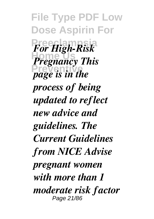**File Type PDF Low Dose Aspirin For Preeclampsia** *For High-Risk Pregnancy This* **Preventive** *page is in the process of being updated to reflect new advice and guidelines. The Current Guidelines from NICE Advise pregnant women with more than 1 moderate risk factor* Page 21/86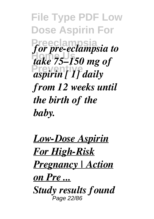**File Type PDF Low Dose Aspirin For Preeclampsia** *for pre-eclampsia to* **Home Us** *take 75–150 mg of* **Preventive** *aspirin [ 1] daily from 12 weeks until the birth of the baby.*

*Low-Dose Aspirin For High-Risk Pregnancy | Action on Pre ... Study results found* Page 22/86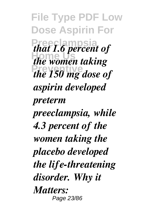**File Type PDF Low Dose Aspirin For** *that 1.6 percent of Hammer Poisons* **Preventive** *the 150 mg dose of aspirin developed preterm preeclampsia, while 4.3 percent of the women taking the placebo developed the life-threatening disorder. Why it Matters:* Page 23/86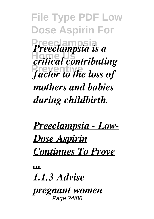**File Type PDF Low Dose Aspirin For Preeclampsia** *Preeclampsia is a* **Home Us** *critical contributing* **Preventive** *factor to the loss of mothers and babies during childbirth.*

## *Preeclampsia - Low-Dose Aspirin Continues To Prove*

*...*

## *1.1.3 Advise*

*pregnant women* Page 24/86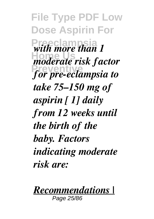**File Type PDF Low Dose Aspirin For**  $\frac{m}{2}$  with more than 1 **Home Us** *moderate risk factor* **Preventive** *for pre-eclampsia to take 75–150 mg of aspirin [ 1] daily from 12 weeks until the birth of the baby. Factors indicating moderate risk are:*



Page 25/86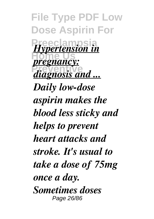**File Type PDF Low Dose Aspirin For** *Hypertension in <u>pregnancy:</u> diagnosis and ... Daily low-dose aspirin makes the blood less sticky and helps to prevent heart attacks and stroke. It's usual to take a dose of 75mg once a day. Sometimes doses* Page 26/86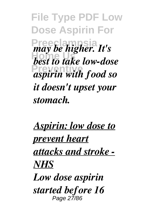**File Type PDF Low Dose Aspirin For Preeclampsia** *may be higher. It's* hest to take low-dose **Preventive** *aspirin with food so it doesn't upset your stomach.*

*Aspirin: low dose to prevent heart attacks and stroke - NHS Low dose aspirin started before 16* Page 27/86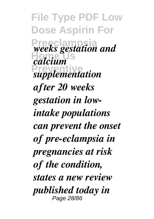**File Type PDF Low Dose Aspirin For Preeclampsia** *weeks gestation and* **Home Us** *calcium* **Preventive** *supplementation after 20 weeks gestation in lowintake populations can prevent the onset of pre-eclampsia in pregnancies at risk of the condition, states a new review published today in* Page 28/86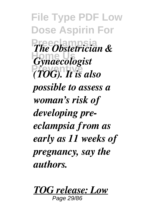**File Type PDF Low Dose Aspirin For** *The Obstetrician &* **Home Us** *Gynaecologist* **Preventive** *(TOG). It is also possible to assess a woman's risk of developing preeclampsia from as early as 11 weeks of pregnancy, say the authors.*

*TOG release: Low*

Page 29/86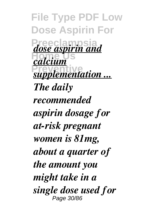**File Type PDF Low Dose Aspirin For Preeclampsia** *dose aspirin and* **Home Us** *calcium <u>supplementation ...</u> The daily recommended aspirin dosage for at-risk pregnant women is 81mg, about a quarter of the amount you might take in a single dose used for* Page 30/86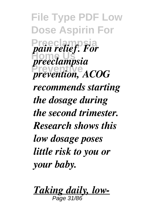**File Type PDF Low Dose Aspirin For** *pain relief. For* **Home Us** *preeclampsia* **Preventive** *prevention, ACOG recommends starting the dosage during the second trimester. Research shows this low dosage poses little risk to you or your baby.*

*Taking daily, low-* $P\overline{a}$ ge 31/86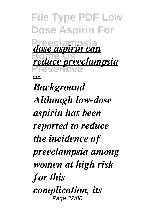**File Type PDF Low Dose Aspirin For Preeclampsia** *dose aspirin can* **Home Us Preventive** *reduce preeclampsia ... Background Although low-dose aspirin has been reported to reduce the incidence of preeclampsia among women at high risk for this complication, its* Page 32/86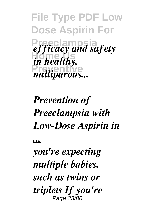**File Type PDF Low Dose Aspirin For** *efficacy and safety in healthy,* mulliparous...

## *Prevention of Preeclampsia with Low-Dose Aspirin in*

*...*

*you're expecting multiple babies, such as twins or triplets If you're* Page 33/86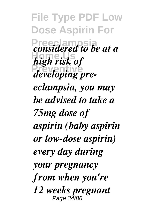**File Type PDF Low Dose Aspirin For** *<u>considered</u>* to be at a **Home Us** *high risk of developing preeclampsia, you may be advised to take a 75mg dose of aspirin (baby aspirin or low-dose aspirin) every day during your pregnancy from when you're 12 weeks pregnant* Page 34/86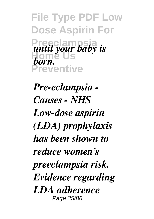**File Type PDF Low Dose Aspirin For Preeclampsia Home Us Preventive** *until your baby is born.*

*Pre-eclampsia - Causes - NHS Low‐dose aspirin (LDA) prophylaxis has been shown to reduce women's preeclampsia risk. Evidence regarding LDA adherence* Page 35/86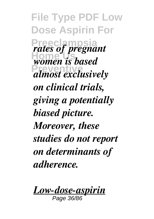**File Type PDF Low Dose Aspirin For Prates of pregnant** *Homen is based* **Preventive** *almost exclusively on clinical trials, giving a potentially biased picture. Moreover, these studies do not report on determinants of adherence.*

*Low‐dose‐aspirin*

Page 36/86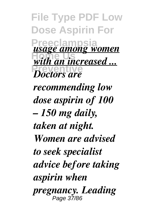**File Type PDF Low Dose Aspirin For Preeclampsia** *<u>with an increased ...</u> Poctors are usage among women recommending low dose aspirin of 100 – 150 mg daily, taken at night. Women are advised to seek specialist advice before taking aspirin when pregnancy. Leading* Page 37/86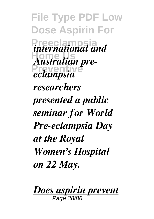**File Type PDF Low Dose Aspirin For** *international and* **Home Us** *Australian pre-***Preventive** *eclampsia researchers presented a public seminar for World Pre-eclampsia Day at the Royal Women's Hospital on 22 May.*

*Does aspirin prevent* Page 38/86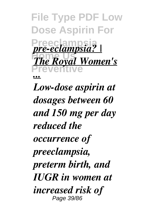**File Type PDF Low Dose Aspirin For Preeclampsia** *pre-eclampsia? |*  $T_{ba}D_{\text{eval}}$ **Preventive** *The Royal Women's ... Low-dose aspirin at dosages between 60 and 150 mg per day reduced the occurrence of preeclampsia, preterm birth, and IUGR in women at increased risk of* Page 39/86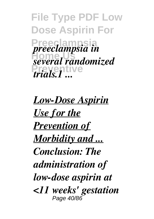**File Type PDF Low Dose Aspirin For Preeclampsia** *preeclampsia in* **Home Us** *several randomized* **Preventive** *trials.1 ...*

*Low-Dose Aspirin Use for the Prevention of Morbidity and ... Conclusion: The administration of low-dose aspirin at <11 weeks' gestation* Page 40/86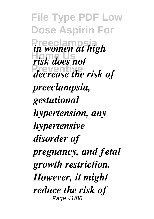**File Type PDF Low Dose Aspirin For Preeclampsia** *in women at high* **Home Us** *risk does not* **Preventive** *decrease the risk of preeclampsia, gestational hypertension, any hypertensive disorder of pregnancy, and fetal growth restriction. However, it might reduce the risk of* Page 41/86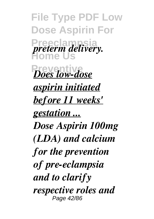**File Type PDF Low Dose Aspirin For Preeclampsia Home Us** *<u>Does low-dose</u> preterm delivery. aspirin initiated before 11 weeks' gestation ... Dose Aspirin 100mg (LDA) and calcium for the prevention of pre-eclampsia and to clarify respective roles and* Page 42/86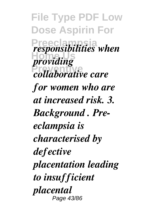**File Type PDF Low Dose Aspirin For Presponsibilities when** *providing* **Preventive** *collaborative care for women who are at increased risk. 3. Background . Preeclampsia is characterised by defective placentation leading to insufficient placental* Page 43/86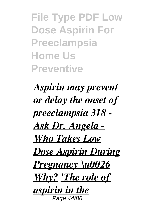**File Type PDF Low Dose Aspirin For Preeclampsia Home Us Preventive**

*Aspirin may prevent or delay the onset of preeclampsia 318 - Ask Dr. Angela - Who Takes Low Dose Aspirin During Pregnancy \u0026 Why? 'The role of aspirin in the* Page 44/86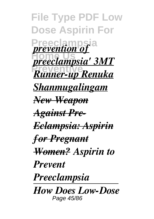**File Type PDF Low Dose Aspirin For** *Prevention of* **Home Us** *preeclampsia' 3MT* **Preventive** *Runner-up Renuka Shanmugalingam New Weapon Against Pre-Eclampsia: Aspirin for Pregnant Women? Aspirin to Prevent Preeclampsia How Does Low-Dose* Page 45/86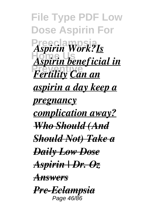**File Type PDF Low Dose Aspirin For Preeclampsia** *Aspirin Work?Is* **Home Us** *Aspirin beneficial in* **Press Contract Contract Contract Contract Contract Contract Contract Contract Contract Contract Contract Contract Contract Contract Contract Contract Contract Contract Contract Contract Contract Contract Contract Contract** *aspirin a day keep a pregnancy complication away? Who Should (And Should Not) Take a Daily Low Dose Aspirin | Dr. Oz Answers Pre-Eclampsia* Page 46/86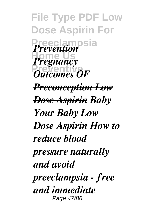**File Type PDF Low Dose Aspirin For Preeclampsia** *Prevention Pregnancy* **Putcomes OF** *Preconception Low Dose Aspirin Baby Your Baby Low Dose Aspirin How to reduce blood pressure naturally and avoid preeclampsia - free and immediate* Page 47/86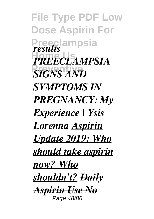**File Type PDF Low Dose Aspirin For Preeclampsia** *results* **Home Us** *PREECLAMPSIA* **SIGNS AND** *SYMPTOMS IN PREGNANCY: My Experience | Ysis Lorenna Aspirin Update 2019: Who should take aspirin now? Who shouldn't? Daily Aspirin Use No* Page 48/86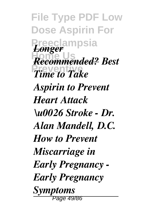**File Type PDF Low Dose Aspirin For Preeclampsia** *Longer* **Home Us** *Recommended? Best* **Prime to Take** *Aspirin to Prevent Heart Attack \u0026 Stroke - Dr. Alan Mandell, D.C. How to Prevent Miscarriage in Early Pregnancy - Early Pregnancy Symptoms* Page 49/86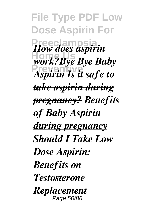**File Type PDF Low Dose Aspirin For** *How does aspirin* **Home Us** *work?Bye Bye Baby* **Preventive** *Aspirin Is it safe to take aspirin during pregnancy? Benefits of Baby Aspirin during pregnancy Should I Take Low Dose Aspirin: Benefits on Testosterone Replacement* Page 50/86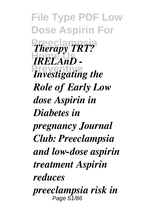**File Type PDF Low Dose Aspirin For** *Therapy TRT?* **Home Us** *IRELAnD - Preventive Role of Early Low dose Aspirin in Diabetes in pregnancy Journal Club: Preeclampsia and low-dose aspirin treatment Aspirin reduces preeclampsia risk in* Page 51/86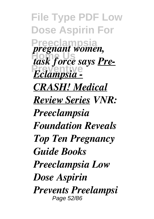**File Type PDF Low Dose Aspirin For Preeclampsia** *pregnant women, task force says <u>Pre-</u>* **Preventive** *Eclampsia - CRASH! Medical Review Series VNR: Preeclampsia Foundation Reveals Top Ten Pregnancy Guide Books Preeclampsia Low Dose Aspirin Prevents Preelampsi* Page 52/86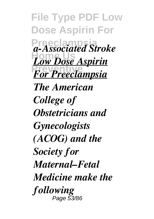**File Type PDF Low Dose Aspirin For Preeclampsia** *a-Associated Stroke* **Low Dose Aspirin For Preeclampsia** *The American College of Obstetricians and Gynecologists (ACOG) and the Society for Maternal–Fetal Medicine make the following* Page 53/86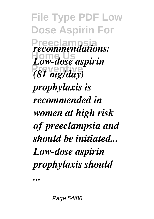**File Type PDF Low Dose Aspirin For Preeclampsia** *recommendations:* **Home Us** *Low-dose aspirin* **Preventive** *(81 mg/day) prophylaxis is recommended in women at high risk of preeclampsia and should be initiated... Low-dose aspirin prophylaxis should*

*...*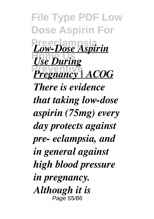**File Type PDF Low Dose Aspirin For Preeclampsia** *Low-Dose Aspirin* **Home Us** *Use During* **Pregnancy** | **ACOG** *There is evidence that taking low-dose aspirin (75mg) every day protects against pre- eclampsia, and in general against high blood pressure in pregnancy. Although it is* Page 55/86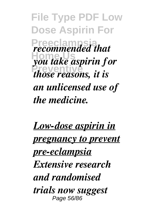**File Type PDF Low Dose Aspirin For Preeclampsia** *recommended that* **Home Us** *you take aspirin for Previously in those reasons, it is an unlicensed use of the medicine.*

*Low-dose aspirin in pregnancy to prevent pre-eclampsia Extensive research and randomised trials now suggest* Page 56/86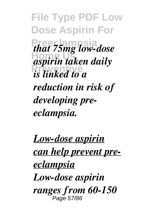**File Type PDF Low Dose Aspirin For Preeclampsia** *that 75mg low-dose* **Home Us** *aspirin taken daily is linked to a reduction in risk of developing preeclampsia.*

*Low-dose aspirin can help prevent preeclampsia Low-dose aspirin ranges from 60-150* Page 57/86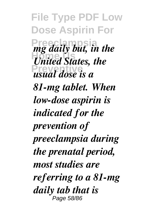**File Type PDF Low Dose Aspirin For Preeclampsia** *mg daily but, in the Home United States, the usual dose is a 81-mg tablet. When low-dose aspirin is indicated for the prevention of preeclampsia during the prenatal period, most studies are referring to a 81-mg daily tab that is* Page 58/86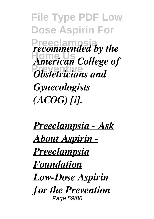**File Type PDF Low Dose Aspirin For Preeclampsia** *recommended by the* **Home Us** *American College of Philodelectricians and Gynecologists (ACOG) [i].*

*Preeclampsia - Ask About Aspirin - Preeclampsia Foundation Low-Dose Aspirin for the Prevention* Page 59/86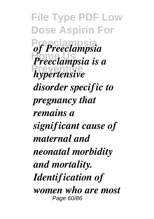**File Type PDF Low Dose Aspirin For Preeclampsia** *of Preeclampsia* **Home Us** *Preeclampsia is a* **Preventive** *hypertensive disorder specific to pregnancy that remains a significant cause of maternal and neonatal morbidity and mortality. Identification of women who are most* Page 60/86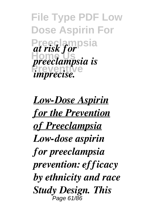**File Type PDF Low Dose Aspirin For Preeclampsia** *at risk for* **Home Us** *preeclampsia is* **Preventive** *imprecise.*

*Low-Dose Aspirin for the Prevention of Preeclampsia Low-dose aspirin for preeclampsia prevention: efficacy by ethnicity and race Study Design. This* Page 61/86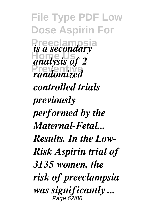**File Type PDF Low Dose Aspirin For** *is a secondary* analysis of 2 **Preventive** *randomized controlled trials previously performed by the Maternal-Fetal... Results. In the Low-Risk Aspirin trial of 3135 women, the risk of preeclampsia was significantly ...* Page 62/86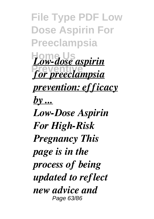**File Type PDF Low Dose Aspirin For Preeclampsia Home Us** *Low-dose aspirin <u>for preeclampsia</u> prevention: efficacy by ... Low-Dose Aspirin For High-Risk Pregnancy This page is in the process of being updated to reflect new advice and* Page 63/86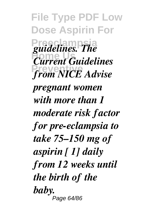**File Type PDF Low Dose Aspirin For Preeclampsia** *guidelines. The* **Home Us** *Current Guidelines* **Preventive** *from NICE Advise pregnant women with more than 1 moderate risk factor for pre-eclampsia to take 75–150 mg of aspirin [ 1] daily from 12 weeks until the birth of the baby.* Page 64/86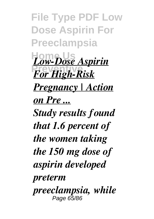**File Type PDF Low Dose Aspirin For Preeclampsia Home Us** *Low-Dose Aspirin* **Press For High-Risk** *Pregnancy | Action on Pre ... Study results found that 1.6 percent of the women taking the 150 mg dose of aspirin developed preterm preeclampsia, while* Page 65/86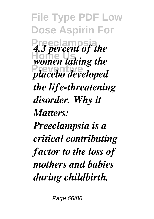**File Type PDF Low Dose Aspirin For 4.3 percent of the** *Homen taking the* **Preventive** *placebo developed the life-threatening disorder. Why it Matters: Preeclampsia is a critical contributing factor to the loss of mothers and babies during childbirth.*

Page 66/86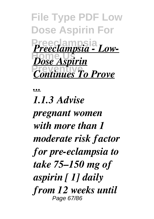**File Type PDF Low Dose Aspirin For Preeclampsia** *Preeclampsia - Low-***Dose Aspirin** *Continues To Prove* 

*...*

*1.1.3 Advise pregnant women with more than 1 moderate risk factor for pre-eclampsia to take 75–150 mg of aspirin [ 1] daily from 12 weeks until* Page 67/86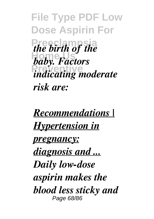**File Type PDF Low Dose Aspirin For** *the birth of the* **Home Us** *baby. Factors <u>indicating</u>* moderate *risk are:*

*Recommendations | Hypertension in pregnancy: diagnosis and ... Daily low-dose aspirin makes the blood less sticky and* Page 68/86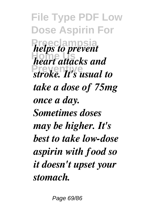**File Type PDF Low Dose Aspirin For** *helps to prevent* **Home Us** *heart attacks and* **Preventive** *stroke. It's usual to take a dose of 75mg once a day. Sometimes doses may be higher. It's best to take low-dose aspirin with food so it doesn't upset your stomach.*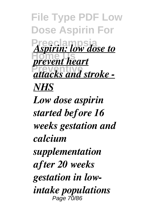**File Type PDF Low Dose Aspirin For** *Aspirin: low dose to Prevent heart* **Preventive** *attacks and stroke - NHS Low dose aspirin started before 16 weeks gestation and calcium supplementation after 20 weeks gestation in lowintake populations* Page 70/86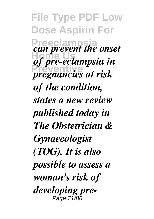**File Type PDF Low Dose Aspirin For Preeclampside Can prevent the onset** *of pre-eclampsia in* **Preventive** *pregnancies at risk of the condition, states a new review published today in The Obstetrician & Gynaecologist (TOG). It is also possible to assess a woman's risk of developing pre-*Page 71/86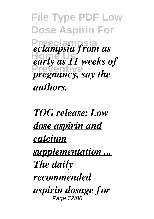**File Type PDF Low Dose Aspirin For Preeclampsia** *eclampsia from as* **Home Us** *early as 11 weeks of pregnancy, say the authors.*

*TOG release: Low dose aspirin and calcium supplementation ... The daily recommended aspirin dosage for* Page 72/86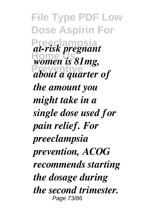**File Type PDF Low Dose Aspirin For Preeclampsia** *at-risk pregnant women is 81mg,* **Preventive** *about a quarter of the amount you might take in a single dose used for pain relief. For preeclampsia prevention, ACOG recommends starting the dosage during the second trimester.* Page 73/86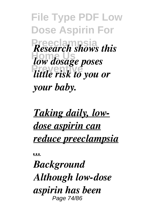**File Type PDF Low Dose Aspirin For Research shows this Home Us** *low dosage poses* **Preventive** *little risk to you or your baby.*

*Taking daily, lowdose aspirin can reduce preeclampsia*

*...*

*Background Although low-dose aspirin has been* Page 74/86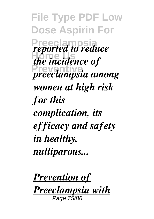**File Type PDF Low Dose Aspirin For Preported to reduce** *<i>Home Homeincidence of* **Preventive** *preeclampsia among women at high risk for this complication, its efficacy and safety in healthy, nulliparous...*

*Prevention of Preeclampsia with* Page 75/86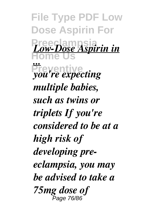**File Type PDF Low Dose Aspirin For Preeclampsia Home Us Preventive** *Low-Dose Aspirin in ... you're expecting multiple babies, such as twins or triplets If you're considered to be at a high risk of developing preeclampsia, you may be advised to take a 75mg dose of* Page 76/86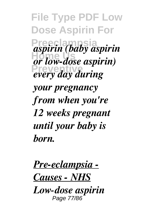**File Type PDF Low Dose Aspirin For Preeclampsia** *aspirin (baby aspirin* **Home Us** *or low-dose aspirin)* **Preventive** *every day during your pregnancy from when you're 12 weeks pregnant until your baby is born.*

*Pre-eclampsia - Causes - NHS*

*Low‐dose aspirin* Page 77/86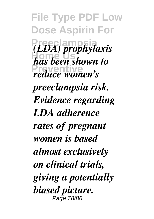**File Type PDF Low Dose Aspirin For Preeclampsia** *(LDA) prophylaxis* **Home Us** *has been shown to* **Preventive** *reduce women's preeclampsia risk. Evidence regarding LDA adherence rates of pregnant women is based almost exclusively on clinical trials, giving a potentially biased picture.* Page 78/86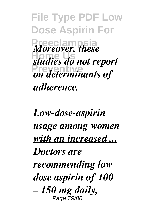**File Type PDF Low Dose Aspirin For Moreover, these Home Us** *studies do not report* **Preventive** *on determinants of adherence.*

*Low‐dose‐aspirin usage among women with an increased ... Doctors are recommending low dose aspirin of 100 – 150 mg daily,* Page 79/86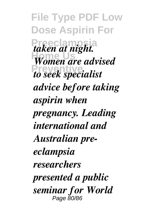**File Type PDF Low Dose Aspirin For** *taken at night.* **Women are advised Preventive** *to seek specialist advice before taking aspirin when pregnancy. Leading international and Australian preeclampsia researchers presented a public seminar for World* Page 80/86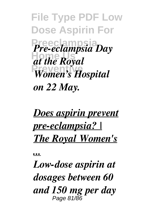**File Type PDF Low Dose Aspirin For Preeclampsia** *Pre-eclampsia Day* **Home Us** *at the Royal Women's Hospital on 22 May.*

## *Does aspirin prevent pre-eclampsia? | The Royal Women's*

*...*

*Low-dose aspirin at dosages between 60 and 150 mg per day* Page 81/86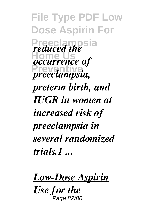**File Type PDF Low Dose Aspirin For** *Preduced the Boscurrence of* **Preventive** *preeclampsia, preterm birth, and IUGR in women at increased risk of preeclampsia in several randomized trials.1 ...*

*Low-Dose Aspirin*

*Use for the* Page 82/86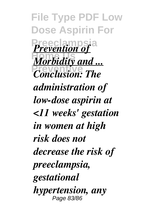**File Type PDF Low Dose Aspirin For** *Prevention of* **Morbidity and ...** *<u>Conclusion:</u> The administration of low-dose aspirin at <11 weeks' gestation in women at high risk does not decrease the risk of preeclampsia, gestational hypertension, any* Page 83/86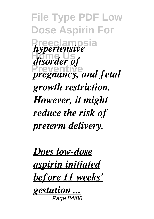**File Type PDF Low Dose Aspirin For** *hypertensive* **Home Us** *disorder of pregnancy, and fetal growth restriction. However, it might reduce the risk of preterm delivery.*

*Does low-dose aspirin initiated before 11 weeks'*

*gestation ...* Page 84/86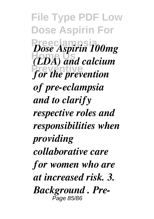**File Type PDF Low Dose Aspirin For Preeclampsia** *Dose Aspirin 100mg* **Home Us** *(LDA) and calcium* **Preventive** *for the prevention of pre-eclampsia and to clarify respective roles and responsibilities when providing collaborative care for women who are at increased risk. 3. Background . Pre-*Page 85/86